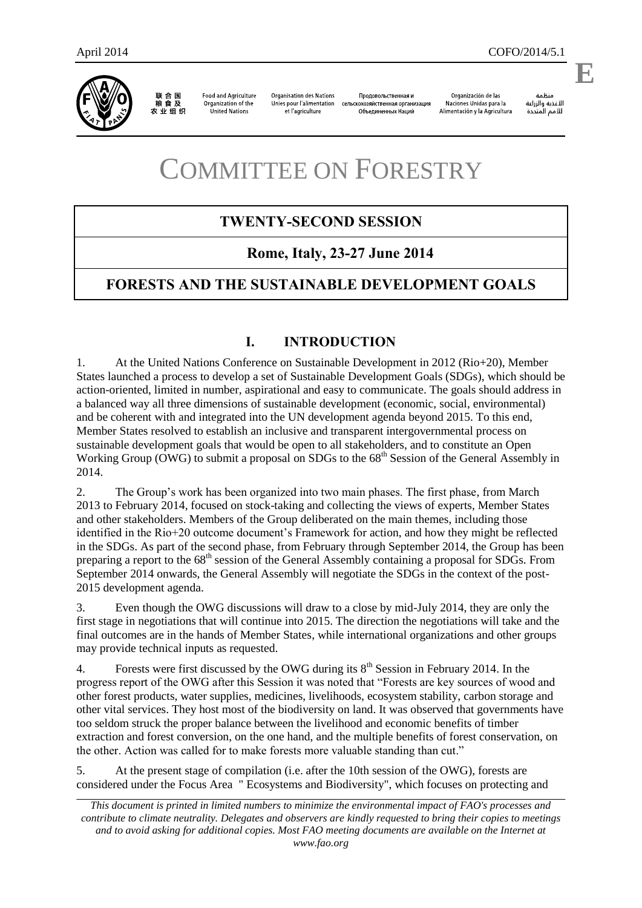联合国<br>粮食及 农业组织

**Food and Agriculture** Organization of the United Nations

**Organisation des Nations** Unies pour l'alimentation et l'agriculture

Продовольственная и сельскохозяйственная организация Объединенных Наций

Organización de las Naciones Unidas para la Alimentación y la Agricultura

änhin الأغذية والزراعة للأمم المتحدة

.

# COMMITTEE ON FORESTRY

# **TWENTY-SECOND SESSION**

# **Rome, Italy, 23-27 June 2014**

# **FORESTS AND THE SUSTAINABLE DEVELOPMENT GOALS**

# **I. INTRODUCTION**

1. At the United Nations Conference on Sustainable Development in 2012 (Rio+20), Member States launched a process to develop a set of Sustainable Development Goals (SDGs), which should be action-oriented, limited in number, aspirational and easy to communicate. The goals should address in a balanced way all three dimensions of sustainable development (economic, social, environmental) and be coherent with and integrated into the UN development agenda beyond 2015. To this end, Member States resolved to establish an inclusive and transparent intergovernmental process on sustainable development goals that would be open to all stakeholders, and to constitute an Open Working Group (OWG) to submit a proposal on SDGs to the 68<sup>th</sup> Session of the General Assembly in 2014.

2. The Group's work has been organized into two main phases. The first phase, from March 2013 to February 2014, focused on stock-taking and collecting the views of experts, Member States and other stakeholders. Members of the Group deliberated on the main themes, including those identified in the Rio+20 outcome document's Framework for action, and how they might be reflected in the SDGs. As part of the second phase, from February through September 2014, the Group has been preparing a report to the 68<sup>th</sup> session of the General Assembly containing a proposal for SDGs. From September 2014 onwards, the General Assembly will negotiate the SDGs in the context of the post-2015 development agenda.

3. Even though the OWG discussions will draw to a close by mid-July 2014, they are only the first stage in negotiations that will continue into 2015. The direction the negotiations will take and the final outcomes are in the hands of Member States, while international organizations and other groups may provide technical inputs as requested.

4. Forests were first discussed by the OWG during its  $8<sup>th</sup>$  Session in February 2014. In the progress report of the OWG after this Session it was noted that "Forests are key sources of wood and other forest products, water supplies, medicines, livelihoods, ecosystem stability, carbon storage and other vital services. They host most of the biodiversity on land. It was observed that governments have too seldom struck the proper balance between the livelihood and economic benefits of timber extraction and forest conversion, on the one hand, and the multiple benefits of forest conservation, on the other. Action was called for to make forests more valuable standing than cut."

5. At the present stage of compilation (i.e. after the 10th session of the OWG), forests are considered under the Focus Area " Ecosystems and Biodiversity", which focuses on protecting and

*This document is printed in limited numbers to minimize the environmental impact of FAO's processes and contribute to climate neutrality. Delegates and observers are kindly requested to bring their copies to meetings and to avoid asking for additional copies. Most FAO meeting documents are available on the Internet at www.fao.org*

**E**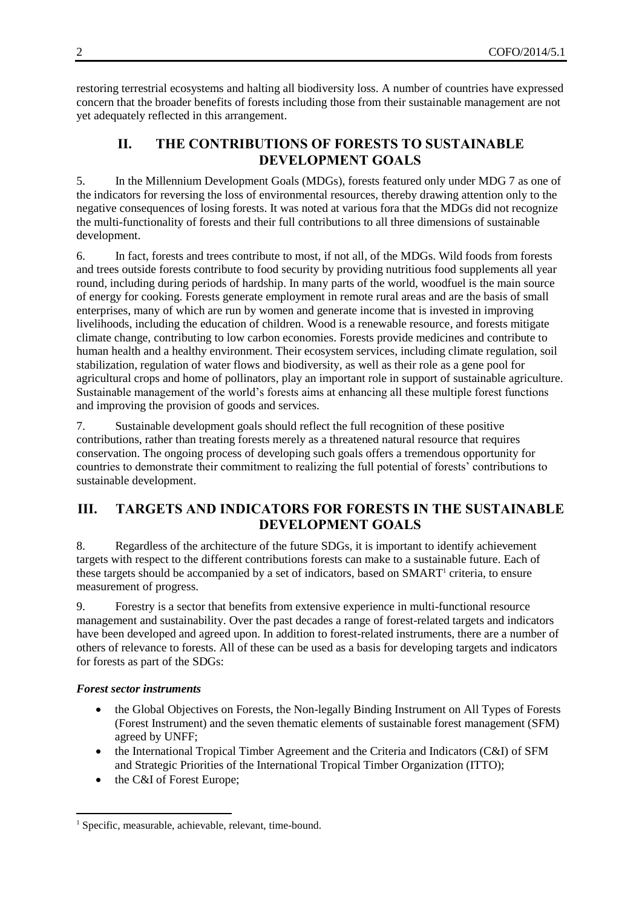restoring terrestrial ecosystems and halting all biodiversity loss. A number of countries have expressed concern that the broader benefits of forests including those from their sustainable management are not yet adequately reflected in this arrangement.

# **II. THE CONTRIBUTIONS OF FORESTS TO SUSTAINABLE DEVELOPMENT GOALS**

5. In the Millennium Development Goals (MDGs), forests featured only under MDG 7 as one of the indicators for reversing the loss of environmental resources, thereby drawing attention only to the negative consequences of losing forests. It was noted at various fora that the MDGs did not recognize the multi-functionality of forests and their full contributions to all three dimensions of sustainable development.

6. In fact, forests and trees contribute to most, if not all, of the MDGs. Wild foods from forests and trees outside forests contribute to food security by providing nutritious food supplements all year round, including during periods of hardship. In many parts of the world, woodfuel is the main source of energy for cooking. Forests generate employment in remote rural areas and are the basis of small enterprises, many of which are run by women and generate income that is invested in improving livelihoods, including the education of children. Wood is a renewable resource, and forests mitigate climate change, contributing to low carbon economies. Forests provide medicines and contribute to human health and a healthy environment. Their ecosystem services, including climate regulation, soil stabilization, regulation of water flows and biodiversity, as well as their role as a gene pool for agricultural crops and home of pollinators, play an important role in support of sustainable agriculture. Sustainable management of the world's forests aims at enhancing all these multiple forest functions and improving the provision of goods and services.

7. Sustainable development goals should reflect the full recognition of these positive contributions, rather than treating forests merely as a threatened natural resource that requires conservation. The ongoing process of developing such goals offers a tremendous opportunity for countries to demonstrate their commitment to realizing the full potential of forests' contributions to sustainable development.

## **III. TARGETS AND INDICATORS FOR FORESTS IN THE SUSTAINABLE DEVELOPMENT GOALS**

8. Regardless of the architecture of the future SDGs, it is important to identify achievement targets with respect to the different contributions forests can make to a sustainable future. Each of these targets should be accompanied by a set of indicators, based on SMART<sup>1</sup> criteria, to ensure measurement of progress.

9. Forestry is a sector that benefits from extensive experience in multi-functional resource management and sustainability. Over the past decades a range of forest-related targets and indicators have been developed and agreed upon. In addition to forest-related instruments, there are a number of others of relevance to forests. All of these can be used as a basis for developing targets and indicators for forests as part of the SDGs:

## *Forest sector instruments*

 $\overline{a}$ 

- the Global Objectives on Forests, the Non-legally Binding Instrument on All Types of Forests (Forest Instrument) and the seven thematic elements of sustainable forest management (SFM) agreed by UNFF;
- the International Tropical Timber Agreement and the Criteria and Indicators (C&I) of SFM and Strategic Priorities of the International Tropical Timber Organization (ITTO);
- the C&I of Forest Europe;

<sup>&</sup>lt;sup>1</sup> Specific, measurable, achievable, relevant, time-bound.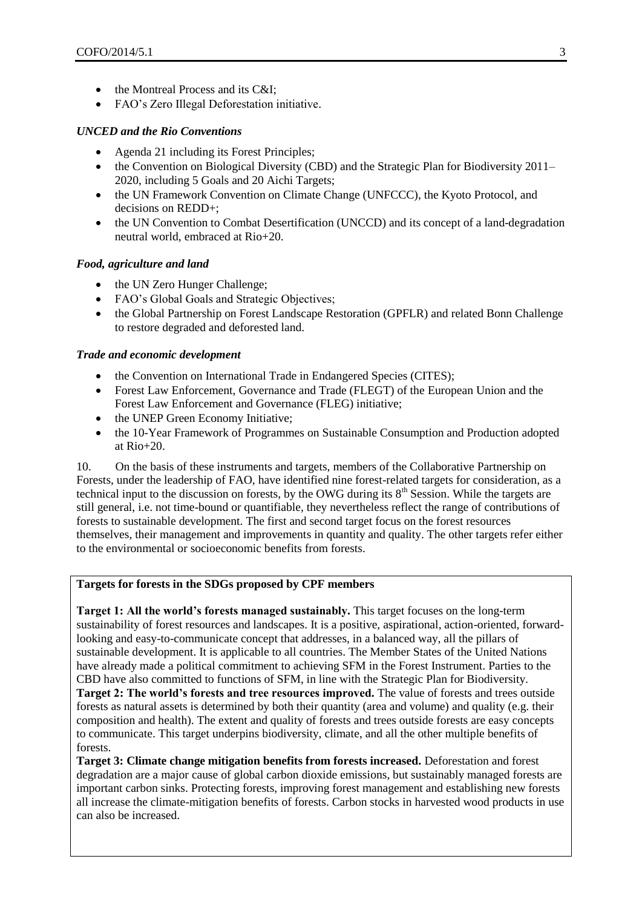- the Montreal Process and its C&I;
- FAO's Zero Illegal Deforestation initiative.

## *UNCED and the Rio Conventions*

- Agenda 21 including its Forest Principles;
- the Convention on Biological Diversity (CBD) and the Strategic Plan for Biodiversity 2011– 2020, including 5 Goals and 20 Aichi Targets;
- the UN Framework Convention on Climate Change (UNFCCC), the Kyoto Protocol, and decisions on REDD+;
- the UN Convention to Combat Desertification (UNCCD) and its concept of a land-degradation neutral world, embraced at Rio+20.

## *Food, agriculture and land*

- the UN Zero Hunger Challenge;
- FAO's Global Goals and Strategic Objectives;
- the Global Partnership on Forest Landscape Restoration (GPFLR) and related Bonn Challenge to restore degraded and deforested land.

#### *Trade and economic development*

- the Convention on International Trade in Endangered Species (CITES);
- Forest Law Enforcement, Governance and Trade (FLEGT) of the European Union and the Forest Law Enforcement and Governance (FLEG) initiative;
- the UNEP Green Economy Initiative;
- the 10-Year Framework of Programmes on Sustainable Consumption and Production adopted at Rio+20.

10. On the basis of these instruments and targets, members of the Collaborative Partnership on Forests, under the leadership of FAO, have identified nine forest-related targets for consideration, as a technical input to the discussion on forests, by the OWG during its  $8<sup>th</sup>$  Session. While the targets are still general, i.e. not time-bound or quantifiable, they nevertheless reflect the range of contributions of forests to sustainable development. The first and second target focus on the forest resources themselves, their management and improvements in quantity and quality. The other targets refer either to the environmental or socioeconomic benefits from forests.

## **Targets for forests in the SDGs proposed by CPF members**

**Target 1: All the world's forests managed sustainably.** This target focuses on the long-term sustainability of forest resources and landscapes. It is a positive, aspirational, action-oriented, forwardlooking and easy-to-communicate concept that addresses, in a balanced way, all the pillars of sustainable development. It is applicable to all countries. The Member States of the United Nations have already made a political commitment to achieving SFM in the Forest Instrument. Parties to the CBD have also committed to functions of SFM, in line with the Strategic Plan for Biodiversity. **Target 2: The world's forests and tree resources improved.** The value of forests and trees outside forests as natural assets is determined by both their quantity (area and volume) and quality (e.g. their composition and health). The extent and quality of forests and trees outside forests are easy concepts to communicate. This target underpins biodiversity, climate, and all the other multiple benefits of forests.

**Target 3: Climate change mitigation benefits from forests increased.** Deforestation and forest degradation are a major cause of global carbon dioxide emissions, but sustainably managed forests are important carbon sinks. Protecting forests, improving forest management and establishing new forests all increase the climate-mitigation benefits of forests. Carbon stocks in harvested wood products in use can also be increased.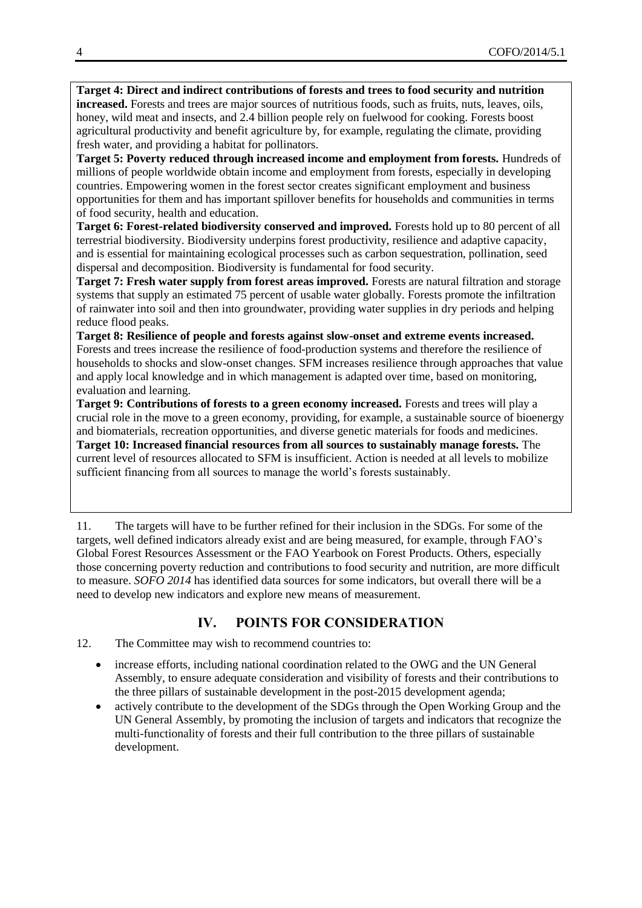**Target 4: Direct and indirect contributions of forests and trees to food security and nutrition increased.** Forests and trees are major sources of nutritious foods, such as fruits, nuts, leaves, oils, honey, wild meat and insects, and 2.4 billion people rely on fuelwood for cooking. Forests boost agricultural productivity and benefit agriculture by, for example, regulating the climate, providing fresh water, and providing a habitat for pollinators.

**Target 5: Poverty reduced through increased income and employment from forests.** Hundreds of millions of people worldwide obtain income and employment from forests, especially in developing countries. Empowering women in the forest sector creates significant employment and business opportunities for them and has important spillover benefits for households and communities in terms of food security, health and education.

**Target 6: Forest-related biodiversity conserved and improved.** Forests hold up to 80 percent of all terrestrial biodiversity. Biodiversity underpins forest productivity, resilience and adaptive capacity, and is essential for maintaining ecological processes such as carbon sequestration, pollination, seed dispersal and decomposition. Biodiversity is fundamental for food security.

**Target 7: Fresh water supply from forest areas improved.** Forests are natural filtration and storage systems that supply an estimated 75 percent of usable water globally. Forests promote the infiltration of rainwater into soil and then into groundwater, providing water supplies in dry periods and helping reduce flood peaks.

**Target 8: Resilience of people and forests against slow-onset and extreme events increased.**  Forests and trees increase the resilience of food-production systems and therefore the resilience of households to shocks and slow-onset changes. SFM increases resilience through approaches that value and apply local knowledge and in which management is adapted over time, based on monitoring, evaluation and learning.

**Target 9: Contributions of forests to a green economy increased.** Forests and trees will play a crucial role in the move to a green economy, providing, for example, a sustainable source of bioenergy and biomaterials, recreation opportunities, and diverse genetic materials for foods and medicines. **Target 10: Increased financial resources from all sources to sustainably manage forests.** The current level of resources allocated to SFM is insufficient. Action is needed at all levels to mobilize sufficient financing from all sources to manage the world's forests sustainably.

11. The targets will have to be further refined for their inclusion in the SDGs. For some of the targets, well defined indicators already exist and are being measured, for example, through FAO's Global Forest Resources Assessment or the FAO Yearbook on Forest Products. Others, especially those concerning poverty reduction and contributions to food security and nutrition, are more difficult to measure. *SOFO 2014* has identified data sources for some indicators, but overall there will be a need to develop new indicators and explore new means of measurement.

# **IV. POINTS FOR CONSIDERATION**

- 12. The Committee may wish to recommend countries to:
	- increase efforts, including national coordination related to the OWG and the UN General Assembly, to ensure adequate consideration and visibility of forests and their contributions to the three pillars of sustainable development in the post-2015 development agenda;
	- actively contribute to the development of the SDGs through the Open Working Group and the UN General Assembly, by promoting the inclusion of targets and indicators that recognize the multi-functionality of forests and their full contribution to the three pillars of sustainable development.